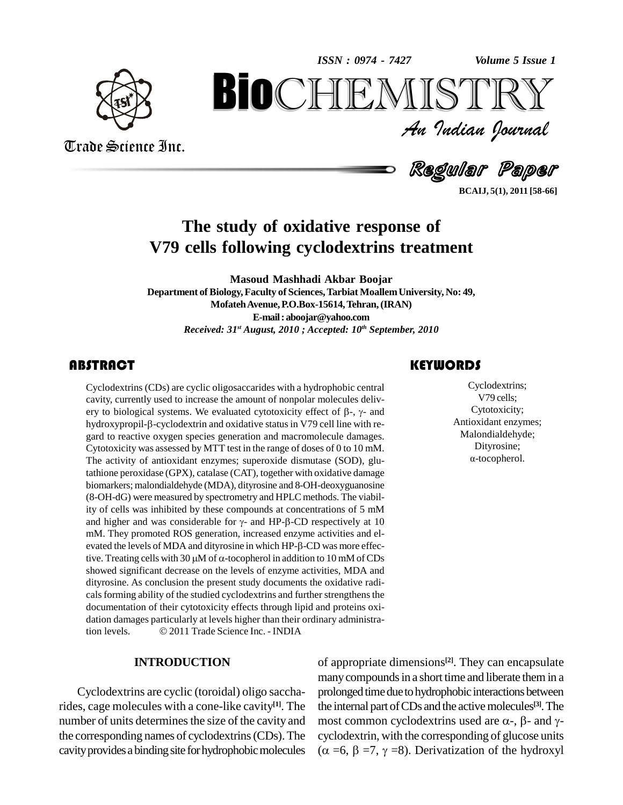*Volume 5 Issue 1*



Trade Science Inc.

Trade Science Inc.

An Indian Journal<br>Regular Paper *Volume 5 Issue 1*<br> $\begin{array}{c} \bigcirc \mathbb{T} \mathbb{R} \mathbb{Y} \ \mathcal{I} \end{array}$ **BIOCHEMISTRY**<br>
An Indian Iournal<br>
Regular Paper<br>
study of oxidative response of<br>
Stellowing cyclodextrips treatment

**BCAIJ, 5(1), 2011 [58-66]**

## **The study of oxidative response of V79 cells following cyclodextrins treatment**

**Masoud Mashhadi Akbar Boojar Department of Biology,Faculty of Sciences,Tarbiat MoallemUniversity, No: 49, MofatehAvenue,P.O.Box-15614,Tehran,(IRAN) E-mail:[aboojar@yahoo.com](mailto:abojoar@yahoo.com)** *Received: 31 st August, 2010 ; Accepted: 10 th September, 2010*

## **ABSTRACT**

Cyclodextrins (CDs) are c<br>cavity, currently used to i<br>ery to biological systems Cyclodextrins (CDs) are cyclic oligosaccarides with a hydrophobic central cavity, currently used to increase the amount of nonpolar molecules delivery to biological systems. We evaluated cytotoxicity effect of  $\beta$ -,  $\gamma$ cavity, currently used to increase the amount of nonpolar molecules deliv ery to biological systems. We evaluated cytotoxicity effect of  $\beta$ -,  $\gamma$ - and hydroxypropil- $\beta$ -cyclodextrin and oxidative status in V79 cell line with regard to reactive oxygen species generation and macromolecule dam Cytotoxicity was assessed by MTT test in the range of doses of 0 to 10 mM. The activity of antioxidant enzymes; superoxide dismutase (SOD), glutathione peroxidase (GPX), catalase (CAT), together with oxidative damage biomarkers; malondialdehyde (MDA), dityrosine and 8-OH-deoxyguanosine (8-OH-dG) were measured by spectrometry and HPLC methods. The viability of cells was inhibited by these compounds at concentrations of 5 mM and higher and was considerable for  $\gamma$ - and HP- $\beta$ -CD respectively at 10 ity of cells was inhibited by these compounds at concentrations of 5 mM and higher and was considerable for  $\gamma$ - and HP- $\beta$ -CD respectively at 10 mM. They promoted ROS generation, increased enzyme activities and elevated the levels of MDA and dityrosine in which HP- $\beta$ -CD was more effective. Treating cells with 30  $\mu$ M of  $\alpha$ -tocopherol in addition to 10 mM of CDs showed significant decrease on the levels of enzyme activities, MDA and dityrosine. As conclusion the present study documents the oxidative radi cals forming ability of the studied cyclodextrins and further strengthens the documentation of their cytotoxicity effects through lipid and proteins oxidation damages particularly at levels higher than their ordinary administration levels.  $\odot$  2011 Trade Science Inc. - INDIA dation damages particularly at levels higher than their ordinary administra-

#### **INTRODUCTION**

Cyclodextrins are cyclic (toroidal) oligo saccharides, cage molecules with a cone-like cavity **[1]**. The number of units determines the size of the cavity and the corresponding names of cyclodextrins(CDs).The cavity provides a binding site for hydrophobic molecules  $(\alpha = 6, \beta = 7, \gamma = 8)$ . Derivatization of the hydroxyl

## **KEYWORDS**

Cyclodextrins<br>V79 cells;<br>Cytotoxicity; Cyclodextrins; V79 cells; Cytotoxicity; Antioxidant enzymes; Malondialdehyde; ·Dityrosine; -tocopherol.

of appropriate dimensions **[2]**. They can encapsulate many compounds in a short time and liberate them in a prolonged time due to hydrophobic interactions between<br>the internal part of CDs and the active molecules<sup>[3]</sup>. The<br>most common cyclodextrins used are  $\alpha$ -,  $\beta$ - and  $\gamma$ the internal part ofCDs and the activemolecules **[3]**.The cyclodextrin, with the corresponding of glucose units most common cyclodextrins used are  $\alpha$ -,  $\beta$ - and  $\gamma$ -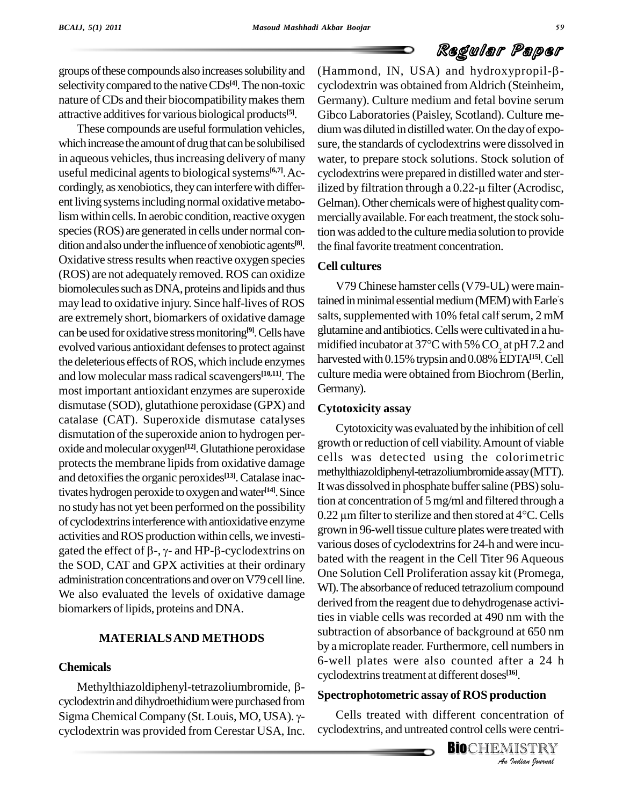groups of these compounds also increases solubility and selectivity compared to the native CDs<sup>[4]</sup>. The non-toxic cycloo nature of CDs and their biocompatibility makes them attractive additives for various biological products<sup>[5]</sup>. (

These compounds are useful formulation vehicles, which increase the amount of drug that can be solubilised in aqueous vehicles, thus increasing delivery of many useful medicinal agents to biological systems<sup>[6,7]</sup>. Ac- cycl cordingly, as xenobiotics, they can interfere with differ-<br>ilized by filtration through a 0.22-µ filter (Acrodisc, ent living systems including normal oxidative metabolism within cells. In aerobic condition, reactive oxygen species (ROS) are generated in cells under normal condition and also under the influence of xenobiotic agents<sup>[8]</sup>. Oxidative stress results when reactive oxygen species (ROS) are not adequately removed. ROS can oxidize biomolecules such as DNA, proteins and lipids and thus may lead to oxidative injury. Since half-lives of ROS are extremely short, biomarkers of oxidative damage can be used for oxidative stress monitoring<sup>[9]</sup>. Cells have glutan evolved various antioxidant defenses to protect against the deleterious effects of ROS, which include enzymes and low molecular mass radical scavengers<sup>[10,11]</sup>. The cultur most important antioxidant enzymes are superoxide dismutase (SOD), glutathione peroxidase (GPX) and catalase (CAT). Superoxide dismutase catalyses dismutation of the superoxide anion to hydrogen peroxide and molecular oxygen<sup>[12]</sup>. Glutathione peroxidase  $\frac{g_{\text{low}}}{h}$ protects the membrane lipids from oxidative damage and detoxifies the organic peroxides<sup>[13]</sup>. Catalase inactivates hydrogen peroxide to oxygen and water<sup>[14]</sup>. Since he was no study has not yet been performed on the possibility<br>0.22  $\mu$ m filter to sterilize and then stored at 4 °C. Cells of cyclodextrinsinterferencewith antioxidative enzyme activities and ROS production within cells, we investi- $\frac{g_{10}}{g_{10}}$ . of cyclodextrins interference with antioxidative enzyme<br>activities and ROS production within cells, we investigated the effect of  $\beta$ -,  $\gamma$ - and HP- $\beta$ -cyclodextrins on the SOD, CAT and GPX activities at their ordinary administration concentrations and over on V79 cell line. We also evaluated the levels of oxidative damage biomarkers of lipids, proteins and DNA.

#### **MATERIALSAND METHODS**

#### **Chemicals**

Methylthiazoldiphenyl-tetrazoliumbromide,  $\beta$ cyclodextrin and dihydroethidium were purchased from Sigma Chemical Company (St. Louis, MO, USA). γcyclodextrin was provided from Cerestar USA, Inc.

<sup>[8]</sup>. the final favorite treatment concentration. (Hammond, IN, USA) and hydroxypropil- $\beta$ cyclodextrin was obtained fromAldrich (Steinheim, Germany). Culture medium and fetal bovine serum Gibco Laboratories(Paisley, Scotland). Culture me dium was diluted in distilled water. On the day of exposure, the standards of cyclodextrins were dissolved in water, to prepare stock solutions. Stock solution of<br>cyclodextrins were prepared in distilled water and ster-<br>ilized by filtration through a 0.22-µ filter (Acrodisc, cyclodextrinswere prepared in distilled water and ster-Gelman). Other chemicals were of highest quality commerciallyavailable. For each treatment, the stock solution was added to the culture media solution to provide

## **Cell cultures**

V79 Chinese hamster cells (V79-UL) were maintained in minimal essential medium (MEM) with Earle's salts, supplemented with 10% fetal calf serum, 2 mM glutamine and antibiotics. Cells were cultivated in a humidified incubator at  $37^{\circ}$ C with 5% CO<sub>2</sub> at pH7.2 and harvested with 0.15% trypsin and 0.08% EDTA<sup>[15]</sup>. Cell culture media were obtained from Biochrom (Berlin, Germany).

#### **Cytotoxicity assay**

*An*cyclodextrinstreatment at different doses **[16]**. Cytotoxicitywas evaluated bythe inhibitionof cell growth orreduction of cell viability.Amount of viable cells was detected using the colorimetric methylthiazoldiphenyl-tetrazoliumbromideassay(MTT). It was dissolved in phosphate buffer saline (PBS) solution at concentration of 5mg/ml and filtered through a It was dissolved in phosphate buffer saline (PBS) solution at concentration of 5 mg/ml and filtered through a<br>0.22  $\mu$ m filter to sterilize and then stored at 4°C. Cells grown in 96-well tissue culture plates were treated with various doses of cyclodextrins for 24-h and were incubated with the reagent in the Cell Titer 96 Aqueous One Solution Cell Proliferation assay kit (Promega, WI). The absorbance of reduced tetrazolium compound derived from the reagent due to dehydrogenase activities in viable cells was recorded at 490 nm with the subtraction of absorbance of background at 650 nm by a microplate reader. Furthermore, cell numbers in 6-well plates were also counted after a 24 h

#### **Spectrophotometric assay of ROS production**

**Iduction<br>ntration of<br>were centri-<br>IISTRY**<br>Indian Iournal Cells treated with different concentration of cyclodextrins, and untreated control cells were centri-

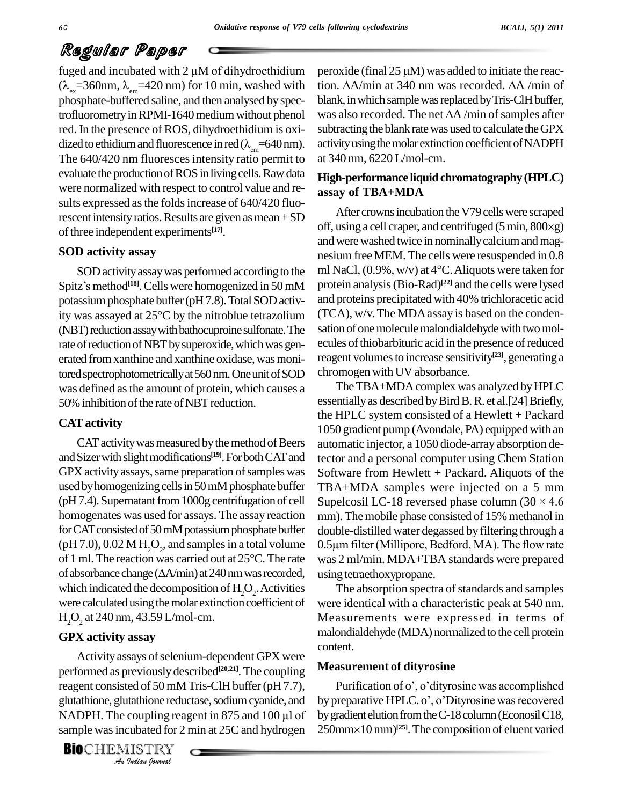fuged and incubated with  $2 \mu M$  of dihydroethidium  $(\lambda_{ex} = 360$ nm,  $\lambda_{em} = 420$  nm) for 10 min, washed with tion.  $\Delta A$ /min at 340 nm was recorded.  $\Delta A$ /min of phosphate-buffered saline, and then analysed by spectrofluorometry in RPMI-1640 medium without phenol was also recorded. The net  $\Delta A$ /min of samples after red. In the presence of ROS, dihydroethidium is oxi dized to ethidium and fluorescence in red ( $\lambda_{em}$ =640 nm).<br>The 640/420 nm fluoresces intensity ratio permit to evaluate the production of ROS in living cells. Raw data were normalized with respect to control value and re-sults expressed asthe foldsincrease of 640/420 fluorescent intensity ratios. Results are given as mean  $\pm$  SD of three independent experiments<sup>[17]</sup>.

## **SOD activity assay**

**SOD activity assay** nesium free M<br>
SOD activity assay was performed according to the ml NaCl, (0.9%<br>
Spitz's method<sup>[18]</sup>. Cells were homogenized in 50 mM protein analysi<br>
potassium phosphate buffer (pH 7.8). Total SOD ac potassium phosphate buffer (pH 7.8). Total SOD activ-(NBT) reduction assay with bathocuproine sulfonate. The rate of reduction of NBT by superoxide, which was generated from xanthine and xanthine oxidase, was monitored spectrophotometrically at 560 nm. One unit of SOD was defined asthe amount of protein, which causes a 50% inhibition of the rate of NBT reduction.

### **CATactivity**

CAT activity was measured by the method of Beers and Sizer with slight modifications<sup>[19]</sup>. For both CAT and tector a GPX activity assays, same preparation of samples was used by homogenizing cells in 50 mM phosphate buffer (pH 7.4). Supernatant from 1000g centrifugation of cell Supelcosil LC-18 reversed phase column (30  $\times$  4.6 homogenates was used for assays. The assay reaction for CAT consisted of 50 mM potassium phosphate buffer doubl (pH 7.0), 0.02 M H<sub>2</sub>O<sub>2</sub>, and samples in a total volume 0.5µn of 1 ml. The reaction was carried out at 25°C. The rate was 2 (pH 7.0), 0.02 M H<sub>2</sub>O<sub>2</sub>, and samples in a total volume 0.5 $\mu$ n of 1 ml. The reaction was carried out at 25°C. The rate was 2 of absorbance change ( $\Delta A/\text{min}$ ) at 240 nm was recorded, using which indicated the decomposition of  $H_2O_2$ . Activities  $\qquad \qquad$  1 were calculated using the molar extinction coefficient of  $H<sub>2</sub>O<sub>2</sub>$  at 240 nm, 43.59 L/mol-cm.

## **GPX activity assay**

performed as previously described<sup>[20,21]</sup>. The coupling <sup>Measu</sup> *Indian Performed as previously described <sup>477</sup>.* The coupling reagent consisted of 50 mM Tris-CIH buffer (pH 7.7), glutathione, glutathione reductase, sodium cyanide, and by p NADPH. The coupling reagent in 875 and 100 Activity assays of selenium-dependent GPX were reagent consisted of 50 mM Tris-ClH buffer (pH 7.7), glutathione, glutathione reductase, sodium cyanide, and by preparative HPLC. o', o'Dityrosine was recovered sample was incubated for 2 min at 25C and hydrogen

**BIO**CHEMISTRY<br>An Indian Journal

peroxide (final 25  $\mu$ M) was added to initiate the reacperoxide (final 25  $\mu$ M) was added to initiate the reaction.  $\Delta$ A/min at 340 nm was recorded.  $\Delta$ A /min of blank, in which sample was replaced by Tris-ClH buffer, tion.  $\Delta A / \text{min}$  at 340 nm was recorded.  $\Delta A / \text{min}$  of<br>blank, in which sample was replaced by Tris-ClH buffer,<br>was also recorded. The net  $\Delta A / \text{min}$  of samples after subtracting the blank rate was used to calculate the GPX activity using the molar extinction coefficient of NADPH at 340 nm, 6220 L/mol-cm.

## **High-performance liquidchromatography (HPLC) assay of TBA+MDA**

SOD activity assay was performed according to the ml NaCl,  $(0.9\%$ , w/v) at  $4^{\circ}$ C. Aliquots were taken for After crowns incubation the V79 cells were scraped off, using a cell craper, and centrifuged  $(5 \text{ min}, 800 \times g)$ and were washed twice in nominally calcium and magnesium freeMEM. The cells were resuspended in 0.8 and were washed twice in nominally calcium and magnesium free MEM. The cells were resuspended in 0.8<br>ml NaCl, (0.9%, w/v) at 4°C. Aliquots were taken for protein analysis(Bio-Rad) **[22]** and the cells were lysed and proteins precipitated with 40% trichloracetic acid  $(TCA)$ , w/v. The MDA assay is based on the condensation of one molecule malondialdehyde with two molecules of thiobarbituric acid in the presence of reduced reagent volumes to increase sensitivity<sup>[23]</sup>, generating a chromogen with UV absorbance.

> The TBA+MDA complex was analyzed by HPLC essentially as described by Bird B.R. et al.[24] Briefly, the HPLC system consisted of a Hewlett + Packard 1050 gradient pump (Avondale, PA) equipped with an automatic injector, a 1050 diode-array absorption detector and a personal computer using Chem Station Software from Hewlett + Packard. Aliquots of the<br>TBA+MDA samples were injected on a 5 mm<br>Supelcosil LC-18 reversed phase column (30 × 4.6) TBA+MDA samples were injected on a 5 mm mm). The mobile phase consisted of 15% methanol in double-distilled water degassed by filtering through a mm). The mobile phase consisted of 15% methanol in<br>double-distilled water degassed by filtering through a<br>0.5µm filter (Millipore, Bedford, MA). The flow rate was 2 ml/min. MDA+TBA standards were prepared using tetraethoxypropane.

The absorption spectra of standards and samples were identical with a characteristic peak at 540 nm. Measurements were expressed in terms of malondialdehyde (MDA) normalized to the cell protein content.

### **Measurement of dityrosine**

asurement of dityrosine<br>Purification of 0', o'dityrosine was accomplished **Measurement of dityrosine**<br>Purification of o', o'dityrosine was accomplished<br>by preparative HPLC. o', o'Dityrosine was recovered by gradient elution from the C-18 column (Econosil C18, by preparative HPLC. o<br>by gradient elution from t<br>250mm×10 mm)<sup>[25]</sup>. Th 250mm×10 mm)<sup>[25]</sup>. The composition of eluent varied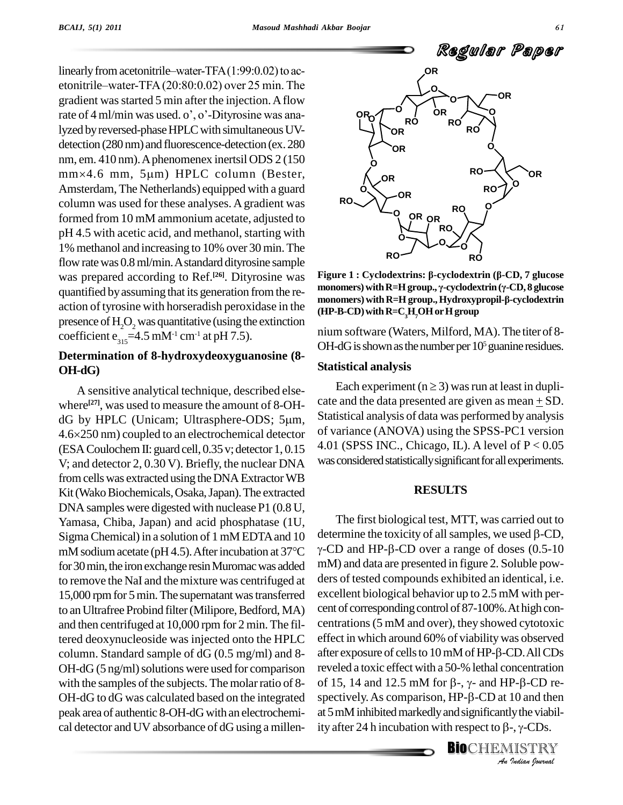linearly from acetonitrile—water-TFA $(1:99:0.02)$  to acetonitrile-water-TFA $(20:80:0.02)$  over 25 min. The gradient was started 5 min after the injection. A flow etonitrile—water-TFA (20:80:0.02) over 25 min. The<br>gradient was started 5 min after the injection. A flow<br>rate of 4 ml/min was used. o', o'-Dityrosine was analyzed by reversed-phase HPLC with simultaneous UVdetection (280 nm) and fluorescence-detection (ex. 280<br>nm, em. 410 nm). A phenomenex inertsil ODS 2 (150<br>mm×4.6 mm, 5µm) HPLC column (Bester, nm, em. 410 nm).Aphenomenex inertsil ODS 2 (150 Amsterdam, The Netherlands) equipped with a guard column was used for these analyses.Agradient was formed from 10 mM ammonium acetate, adjusted to pH 4.5 with acetic acid, and methanol, starting with 1% methanol and increasing to 10% over 30 min.The flow rate was 0.8 ml/min. A standard dityrosine sample was prepared according to Ref.<sup>[26]</sup>. Dityrosine was Figure quantified by assuming that its generation from the re-<br>monomers) with  $R=H$  group.,  $\gamma$ -cyclodextrin ( $\gamma$ -CD, 8 glucose<br>monomers) with  $R=H$  group.,  $H$ ydroxypropil- $\beta$ -cyclodextrin action oftyrosine with horseradish peroxidase in the presence of  $H<sub>2</sub>O<sub>2</sub>$  was quantitative (using the extinction coefficient  $e_{315} = 4.5$  mM<sup>-1</sup> cm<sup>-1</sup> at pH 7.5).

### **Determination of 8-hydroxydeoxyguanosine (8- OH-dG)**

A sensitive analytical technique, described else where<sup>[27]</sup>, was used to measure the amount of 8-OH-A sensitive analytical technique, described else-<br>where<sup>[27]</sup>, was used to measure the amount of 8-OH-<br>dG by HPLC (Unicam; Ultrasphere-ODS; 5 $\mu$ m, dG by HPLC (Unicam; Ultrasphere-ODS;  $5\mu$ m,  $4.6 \times 250$  nm) coupled to an electrochemical detector (ESA Coulochem II: guard cell, 0.35 v; detector 1, 0.15 V; and detector 2, 0.30 V). Briefly, the nuclear DNA from cells was extracted using the DNA Extractor WB Kit (Wako Biochemicals, Osaka, Japan). The extracted DNA samples were digested with nuclease P1 (0.8 U, Yamasa, Chiba, Japan) and acid phosphatase (1U, Sigma Chemical) in a solution of 1 mM EDTA and 10 determ Yamasa, Chiba, Japan) and acid phosphatase (1U, The film Sigma Chemical) in a solution of 1 mM EDTA and 10 determine mM sodium acetate (pH 4.5). After incubation at 37°C  $\gamma$ -CD and for30min,the ironexchange resinMuromacwas added to remove the NaI and the mixture was centrifuged at 15,000 rpm for 5 min. The supernatant was transferred to an Ultrafree Probind filter (Milipore, Bedford, MA) and then centrifuged at 10,000 rpm for 2 min. The filtered deoxynucleoside was injected onto the HPLC column. Standard sample of dG (0.5 mg/ml) and 8-  $OH-dG (5 ng/ml)$  solutions were used for comparison with the samples of the subjects. The molar ratio of 8-OH-dG to dG was calculated based on the integrated peak area of authentic 8-OH-dGwith an electrochemi cal detector and UV absorbance of dG using a millen-



**monomers) withR=Hgroup., "-cyclodextrin ("-CD, <sup>8</sup> glucose Figure 1 : Cyclodextrins: β-cyclodextrin (β-CD, 7 glucose<br>monomers) with R=H group., γ-cyclodextrin (γ-CD, 8 glucose<br>monomers) with R=H group., Hydroxypropil-β-cyclodextrin (HP-B-CD)withR=C3H7OHorHgroup**

nium software (Waters, Milford, MA). The titer of 8- OH-dG is shown as the number per  $10<sup>5</sup>$  guanine residues.

#### **Statistical analysis**

Each experiment ( $n \ge 3$ ) was run at least in duplicate and the data presented are given as mean + SD. Statistical analysis of data was performed by analysis of variance (ANOVA) using the SPSS-PC1 version 4.01 (SPSS INC., Chicago, IL). A level of  $P < 0.05$ was considered statistically significant for all experiments.

#### **RESULTS**

of 15, 14 and 12.5 mM for  $\beta$ -,  $\gamma$ - and HP- $\beta$ -CD re-**P-β-CD re-**<br>10 and then<br>ly the viabil-<br>-, γ-CDs.<br>IISTRY The first biological test, MTT, was carried out to determine the toxicity of all samples, we used  $\beta$ -CD,  $\gamma$ -CD and HP- $\beta$ -CD over a range of doses (0.5-10) mM) and data are presented in figure 2. Soluble pow ders of tested compounds exhibited an identical, i.e. excellent biological behavior up to 2.5 mM with per cent of corresponding control of 87-100%. At high concentrations(5 mM and over), they showed cytotoxic effect in which around 60% of viabilitywas observed centrations (5 mM and over), they showed cytotoxic<br>effect in which around 60% of viability was observed<br>after exposure of cells to 10 mM of HP-β-CD. All CDs reveled a toxic effect with a 50-% lethal concentration after exposure of cells to  $10 \text{ mM}$  of HP- $\beta$ -CD. All CDs reveled a toxic effect with a 50-% lethal concentration<br>of 15, 14 and 12.5 mM for  $\beta$ -,  $\gamma$ - and HP- $\beta$ -CD re-<br>spectively. As comparison, HP- $\beta$ -CD at 10 and then at 5 mM inhibited markedly and significantly the viabilspectively. As comparison,  $HP-\beta$ -CD at 10 and then<br>at 5 mM inhibited markedly and significantly the viabil-<br>ity after 24 h incubation with respect to  $\beta$ -,  $\gamma$ -CDs.

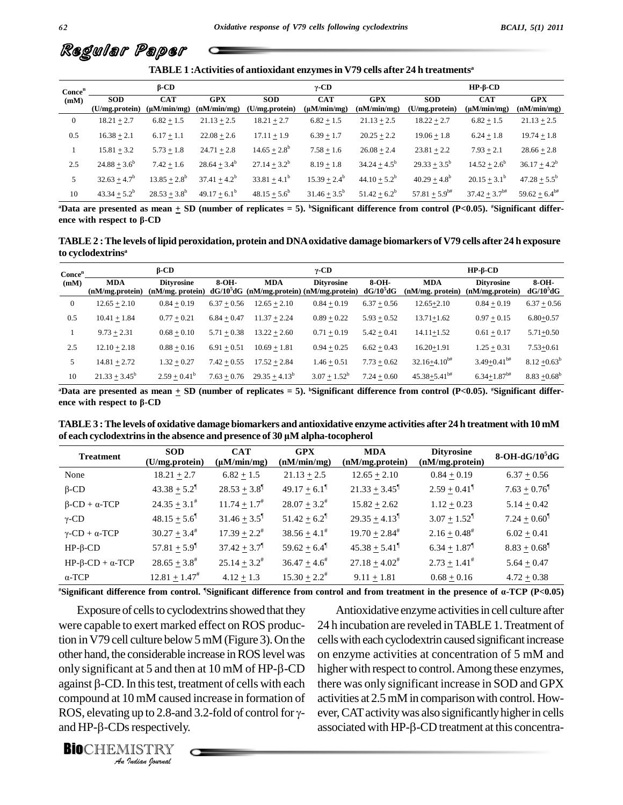

| TABLE 1: Activities of antioxidant enzymes in V79 cells after 24 h treatments <sup>a</sup> |                              |                                |                           |                              |                                |                           |                              |                                |                           |
|--------------------------------------------------------------------------------------------|------------------------------|--------------------------------|---------------------------|------------------------------|--------------------------------|---------------------------|------------------------------|--------------------------------|---------------------------|
| Cone <sup>n</sup>                                                                          |                              | $\beta$ -CD                    |                           |                              | $\gamma$ -CD                   |                           |                              | $HP-B-CD$                      |                           |
| (mM)                                                                                       | <b>SOD</b><br>(U/mg.protein) | <b>CAT</b><br>$(\mu M/min/mg)$ | <b>GPX</b><br>(nM/min/mg) | <b>SOD</b><br>(U/mg.protein) | <b>CAT</b><br>$(\mu M/min/mg)$ | <b>GPX</b><br>(nM/min/mg) | <b>SOD</b><br>(U/mg.protein) | <b>CAT</b><br>$(\mu M/min/mg)$ | <b>GPX</b><br>(nM/min/mg) |
| $\boldsymbol{0}$                                                                           | $18.21 + 2.7$                | $6.82 + 1.5$                   | $21.13 + 2.5$             | $18.21 + 2.7$                | $6.82 + 1.5$                   | $21.13 + 2.5$             | $18.22 + 2.7$                | $6.82 + 1.5$                   | $21.13 + 2.5$             |
| 0.5                                                                                        | $16.38 + 2.1$                | $6.17 + 1.1$                   | $22.08 + 2.6$             | $17.11 + 1.9$                | $6.39 + 1.7$                   | $20.25 + 2.2$             | $19.06 + 1.8$                | $6.24 + 1.8$                   | $19.74 + 1.8$             |
|                                                                                            | $15.81 + 3.2$                | $5.73 + 1.8$                   | $24.71 + 2.8$             | $14.65 + 2.8^b$              | $7.58 + 1.6$                   | $26.08 + 2.4$             | $23.81 + 2.2$                | $7.93 + 2.1$                   | $28.66 + 2.8$             |
| 2.5                                                                                        | $24.88 + 3.6^b$              | $7.42 + 1.6$                   | $28.64 + 3.4^b$           | $27.14 + 3.2^b$              | $8.19 + 1.8$                   | $34.24 + 4.5^b$           | $29.33 + 3.5^b$              | $14.52 + 2.6^b$                | $36.17 + 4.2^b$           |
| 5                                                                                          | $32.63 + 4.7^b$              | $13.85 + 2.8^b$                | $37.41 + 4.2^b$           | $33.81 + 4.1^b$              | $15.39 + 2.4^b$                | $44.10 + 5.2^b$           | $40.29 + 4.8^b$              | $20.15 + 3.1^b$                | $47.28 + 5.5^b$           |
| 10                                                                                         | $43.34 + 5.2^b$              | $28.53 + 3.8^b$                | $49.17 + 6.1^b$           | $48.15 + 5.6^b$              | $31.46 + 3.5^b$                | $51.42 + 6.2^b$           | $57.81 + 5.9^{b#}$           | $37.42 + 3.7$ <sup>b#</sup>    | $59.62 + 6.4^{b#}$        |

<sup>a</sup>Data are presented as mean  $\pm$  SD (number of replicates = 5). <sup>b</sup>Significant difference from control (P<0.05). <sup>#</sup>Significant differ $e^{i\theta}$  **a**  $43.34 \pm 5.2^{\circ}$  **28.53**  $\pm 3.8^{\circ}$  **49.**<br> **PData are presented as mean**  $\pm$  SD (nu ence with respect to β-CD

TABLE 2 : The levels of lipid peroxidation, protein and DNA oxidative damage biomarkers of V79 cells after 24 h exposure **to cyclodextrins a '**

|                            | to cyclodextrins <sup>a</sup>  |                                       |               |                  |                                                                  |                        |                                |                                       |                      |  |
|----------------------------|--------------------------------|---------------------------------------|---------------|------------------|------------------------------------------------------------------|------------------------|--------------------------------|---------------------------------------|----------------------|--|
| Conce <sup>n</sup><br>(mM) | $\beta$ -CD                    |                                       |               | $\gamma$ -CD     |                                                                  |                        | $HP-B-CD$                      |                                       |                      |  |
|                            | <b>MDA</b><br>(nM/mg, protein) | <b>Dityrosine</b><br>(nM/mg. protein) | $8-OH-$       | <b>MDA</b>       | <b>Dityrosine</b><br>$dG/10^3dG$ (nM/mg.protein) (nM/mg.protein) | $8-OH-$<br>$dG/10^5dG$ | <b>MDA</b><br>(nM/mg. protein) | <b>Dityrosine</b><br>(nM/mg, protein) | 8-OH-<br>$dG/10^5dG$ |  |
| $\overline{0}$             | $12.65 + 2.10$                 | $0.84 + 0.19$                         | $6.37 + 0.56$ | $12.65 + 2.10$   | $0.84 + 0.19$                                                    | $6.37 + 0.56$          | $12.65 + 2.10$                 | $0.84 + 0.19$                         | $6.37 + 0.56$        |  |
| 0.5                        | $10.41 + 1.84$                 | $0.77 + 0.21$                         | $6.84 + 0.47$ | $11.37 + 2.24$   | $0.89 + 0.22$                                                    | $5.93 + 0.52$          | $13.71 + 1.62$                 | $0.97 + 0.15$                         | $6.80 + 0.57$        |  |
|                            | $9.73 + 2.31$                  | $0.68 + 0.10$                         | $5.71 + 0.38$ | $13.22 + 2.60$   | $0.71 + 0.19$                                                    | $5.42 + 0.41$          | $14.11 + 1.52$                 | $0.61 + 0.17$                         | $5.71 + 0.50$        |  |
| 2.5                        | $12.10 + 2.18$                 | $0.88 + 0.16$                         | $6.91 + 0.51$ | $10.69 + 1.81$   | $0.94 + 0.25$                                                    | $6.62 + 0.43$          | $16.20 + 1.91$                 | $1.25 + 0.31$                         | $7.53 + 0.61$        |  |
| 5                          | $14.81 + 2.72$                 | $1.32 + 0.27$                         | $7.42 + 0.55$ | $17.52 + 2.84$   | $1.46 + 0.51$                                                    | $7.73 + 0.62$          | $32.16 + 4.10^{b#}$            | $3.49 + 0.41$ <sup>b#</sup>           | $8.12 + 0.63^b$      |  |
| 10                         | $21.33 + 3.45^b$               | $2.59 + 0.41^b$                       | $7.63 + 0.76$ | $29.35 + 4.13^b$ | $3.07 + 1.52^b$                                                  | $7.24 + 0.60$          | $45.38 + 5.41$ <sup>b#</sup>   | $6.34 + 1.87$ <sup>b#</sup>           | $8.83 + 0.68^b$      |  |

<sup>a</sup>Data are presented as mean  $\pm$  SD (number of replicates = 5). <sup>b</sup>Significant difference from control (P<0.05). <sup>#</sup>Significant differ $e^{i\theta}$   $21.33 \pm 3.45$   $2.59 \pm 0.41$ <sup>o</sup><br> **PData are presented as mean**  $\pm$  SD (nu<br>
ence with respect to β-CD

TABLE 3: The levels of oxidative damage biomarkers and antioxidative enzyme activities after 24 h treatment with 10 mM **of each cyclodextrinsin the absence and presence of <sup>30</sup> <sup>Ï</sup><sup>M</sup> alpha-tocopherol**

| <b>Treatment</b>                    | <b>SOD</b><br>(U/mg.protein) | <b>CAT</b><br>$(\mu M/min/mg)$ | <b>GPX</b><br>(nM/min/mg)    | <b>MDA</b><br>(nM/mg.protein) | <b>Dityrosine</b><br>(nM/mg.protein) | $8-OH-dG/105dG$            |
|-------------------------------------|------------------------------|--------------------------------|------------------------------|-------------------------------|--------------------------------------|----------------------------|
| None                                | $18.21 + 2.7$                | $6.82 + 1.5$                   | $21.13 + 2.5$                | $12.65 + 2.10$                | $0.84 + 0.19$                        | $6.37 + 0.56$              |
| $\beta$ -CD                         | $43.38 + 5.2$ <sup>1</sup>   | $28.53 + 3.8$ <sup>[1]</sup>   | $49.17 + 6.1$ <sup>1</sup>   | $21.33 + 3.45$ <sup>1</sup>   | $2.59 + 0.41$ <sup>1</sup>           | $7.63 + 0.76$ <sup>1</sup> |
| $\beta$ -CD + $\alpha$ -TCP         | $24.35 \pm 3.1^{\#}$         | $11.74 + 1.7^{\#}$             | $28.07 + 3.2^{\#}$           | $15.82 + 2.62$                | $1.12 + 0.23$                        | $5.14 + 0.42$              |
| $\gamma$ -CD                        | $48.15 + 5.6$ <sup>1</sup>   | $31.46 + 3.5$ <sup>1</sup>     | $51.42 + 6.2$ <sup>1</sup>   | $29.35 + 4.13$ <sup>1</sup>   | $3.07 + 1.52$ <sup>1</sup>           | $7.24 + 0.60$ <sup>1</sup> |
| $\gamma$ -CD + $\alpha$ -TCP        | $30.27 + 3.4^{\#}$           | $17.39 + 2.2^{\#}$             | $38.56 + 4.1^{\#}$           | $19.70 + 2.84^{\#}$           | $2.16 + 0.48^{\#}$                   | $6.02 + 0.41$              |
| $HP$ - $\beta$ -CD                  | $57.81 \pm 5.9$ <sup>1</sup> | $37.42 \pm 3.7$ <sup>1</sup>   | 59.62 $\pm$ 6.4 <sup>1</sup> | $45.38 + 5.41^{\circ}$        | $6.34 + 1.87$ <sup>1</sup>           | $8.83 + 0.68$ <sup>1</sup> |
| $HP$ - $\beta$ - $CD + \alpha$ -TCP | $28.65 + 3.8^{\#}$           | $25.14 + 3.2^{\#}$             | $36.47 + 4.6^{\text{*}}$     | $27.18 + 4.02^*$              | $2.73 + 1.41^*$                      | $5.64 + 0.47$              |
| $\alpha$ -TCP                       | $12.81 \pm 1.47^{\#}$        | $4.12 \pm 1.3$                 | $15.30 + 2.2^{\#}$           | $9.11 \pm 1.81$               | $0.68 \pm 0.16$                      | $4.72 \pm 0.38$            |

"Significant difference from control. 'Significant difference from control and from treatment in the presence of  $\alpha$ -TCP (P<0.05)

only significant at 5 and then at  $10 \text{ mM of HP-}\beta$ -CD In this test, tr<br>1 mM cause<br>2 up to 2.8-an<br>*i*s respectively<br>IISTRY Exposure of cells to cyclodextrins showed that they were capable to exert marked effect on ROS production in V79 cell culture below 5 mM (Figure 3). On the cells with exother hand, the considerable increase in ROS level was on enzyme only significant at 5 and then at 10 mM of HP- $\beta$ -CD higher with other hand, the considerable increase in ROS level was other hand, the considerable increase in ROS level was on enz<br>only significant at 5 and then at 10 mM of HP- $\beta$ -CD higher<br>against  $\beta$ -CD. In this test, treatment of cells with each there w compound at 10 mM caused increase in formation of actively.<br>ROS, elevating up to 2.8-and 3.2-fold of control for  $\gamma$ - even and HP- $\beta$ -CDs respectively. against  $\beta$ -CD. In this test, treatment of cells with each the<br>compound at 10 mM caused increase in formation of acti<br>ROS, elevating up to 2.8-and 3.2-fold of control for  $\gamma$ -

**BIO**CHEMISTRY<br>An Indian Iournal

Antioxidative enzyme activities in cell culture after 24 h incubation are reveled in TABLE 1. Treatment of cellswith each cyclodextrin caused significantincrease on enzyme activities at concentration of 5 mM and higher with respect to control.Among these enzymes, there was only significant increase in SOD and GPX activities at 2.5 mM in comparison with control. How-<br>ever, CAT activity was also significantly higher in cells<br>associated with HP-β-CD treatment at this concentraever, CAT activity was also significantly higher in cells

**62**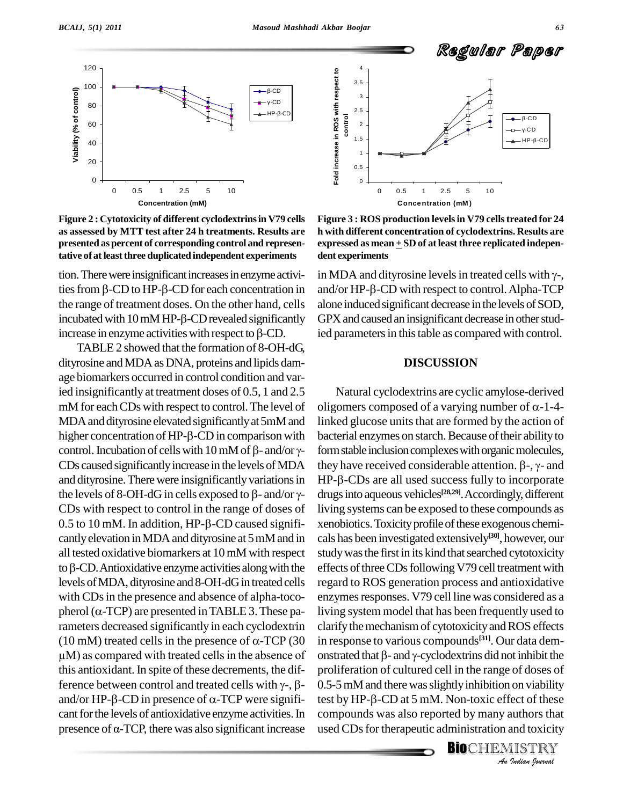



tion. There were insignificant increases in enzyme activitative of at least three duplicated independent experiments dent exp<br>tion. There were insignificant increases in enzyme activi- in MD.<br>ties from  $\beta$ -CD to HP- $\beta$ -CD for each concentration in and/or the range of treatment doses. On the other hand, cells alone<br>incubated with  $10 \text{ mM HP-}\beta$ -CD revealed significantly GPX<br>increase in enzyme activities with respect to  $\beta$ -CD. ied p ties from  $\beta$ -CD to HP- $\beta$ -CD for each concentration in and/or<br>the range of treatment doses. On the other hand, cells alone in<br>incubated with 10 mM HP- $\beta$ -CD revealed significantly GPX and

TABLE 2 showed that the formation of  $8$ -OH-dG, dityrosine and MDA as DNA, proteins and lipids damage biomarkers occurred in control condition and varied insignificantly at treatment doses of 0.5, 1 and 2.5 mM for each CDs with respect to control. The level of MDA and dityrosine elevated significantly at 5mM and mM for each CDs with respect to control. The level of oligom<br>MDA and dityrosine elevated significantly at 5mM and linked<br>higher concentration of HP-β-CD in comparison with bacteria MDA and dityrosine elevated significantly at 5mM and<br>higher concentration of HP- $\beta$ -CD in comparison with bac<br>control. Incubation of cells with 10 mM of  $\beta$ - and/or  $\gamma$ - form CDs caused significantly increase in the levels of MDA they have received considerable attention.  $\beta$ -,  $\gamma$ - and and dityrosine. There were insignificantly variations in  $HP-\beta$ -CDs caused significantly increase in the levels of MDA they<br>and dityrosine. There were insignificantly variations in HP-<br>the levels of 8-OH-dG in cells exposed to  $\beta$ - and/or  $\gamma$ - drug CDs with respect to control in the range of doses of the levels of 8-OH-dG in cells exposed to  $\beta$ - and/or  $\gamma$ - drug CDs with respect to control in the range of doses of living 0.5 to 10 mM. In addition, HP- $\beta$ -CD caused signifi- xen cantlyelevation inMDAand dityrosine at 5mMand in all tested oxidative biomarkers at 10mM with respect cantly elevation in MDA and dityrosine at 5 mM and in cals hall tested oxidative biomarkers at  $10 \text{ mM}$  with respect study to  $\beta$ -CD. Antioxidative enzyme activities along with the effect: levels ofMDA, dityrosine and 8-OH-dGin treated cells with CDs in the presence and absence of alpha-tocopherol ( $\alpha$ -TCP) are presented in TABLE 3. These parameters decreased significantly in each cyclodextrin clarify pherol ( $\alpha$ -TCP) are presented in TABLE 3. These pa-<br>rameters decreased significantly in each cyclodextrin clarify<br>(10 mM) treated cells in the presence of  $\alpha$ -TCP (30 in resp rameters decreased significantly in each cyclodextrin clar<br>(10 mM) treated cells in the presence of  $\alpha$ -TCP (30 in roum) as compared with treated cells in the absence of onsi this antioxidant. In spite of these decrements, the difμM) as compared with treated cells in the absence of ons<br>this antioxidant. In spite of these decrements, the dif-<br>ference between control and treated cells with  $γ$ -, β- 0.5this antioxidant. In spite of these decrements, the dif-<br>ference between control and treated cells with  $\gamma$ -,  $\beta$ - 0.5-<br>and/or HP- $\beta$ -CD in presence of  $\alpha$ -TCP were significant for the levels of antioxidative enzyme activities. In and/or HP- $\beta$ -CD in presence of  $\alpha$ -TCP were signifi-<br>cant for the levels of antioxidative enzyme activities. In compounds was also reported by many authors that<br>presence of  $\alpha$ -TCP, there was also significant increase



expressed as mean  $\pm$  SD of at least three replicated independent experiments<br>in MDA and dityrosine levels in treated cells with  $\gamma$ -, **Figure 3 : ROS production levelsin V79 cellstreated for 24 h with different concentration of cyclodextrins. Results are expressed as mean + SD of atleast three replicated indepen dent experiments**

dent experments<br>in MDA and dityrosine levels in treated cells with γ-,<br>and/or HP-β-CD with respect to control. Alpha-TCP alone induced significant decrease in the levels of SOD, GPX and caused an insignificant decrease in other studied parameters in this table as compared with control.

#### **DISCUSSION**

proliferation of cultured cell in the range of doses of<br>0.5-5 mM and there was slightly inhibition on viability<br>test by HP-β-CD at 5 mM. Non-toxic effect of these *Indiana Indiana D.* 5-5 mM and there was slightly inhibition on viability test by HP-β-CD at 5 mM. Non-toxic effect of these compounds was also reported by many authors that used CDs for therapeutic administration a Natural cyclodextrins are cyclic amylose-derived oligomers composed of a varying number of  $\alpha$ -1-4linked glucose units that are formed by the action of bacterial enzymes on starch. Because of their ability to<br>form stable inclusion complexes with organic molecules,<br>they have received considerable attention.  $\beta$ -,  $\gamma$ - and form stable inclusion complexes with organic molecules,<br>they have received considerable attention.  $\beta$ -,  $\gamma$ - and<br>HP- $\beta$ -CDs are all used success fully to incorporate drugs into aqueous vehicles<sup>[28,29]</sup>. Accordingly, different living systems can be exposed to these compounds as xenobiotics.Toxicityprofileofthese exogenous chemi cals has been investigated extensively **[30]**, however, our study was the first in its kind that searched cytotoxicity effects of three CDs following V79 cell treatment with regard to ROS generation process and antioxidative enzymes responses. V79 cell line was considered as a living system model that has been frequently used to clarify the mechanism of cytotoxicity and ROS effects in response to various compounds **[31]**. Our data dem clarify the mechanism of cytotoxicity and ROS effects<br>in response to various compounds<sup>[31]</sup>. Our data dem-<br>onstrated that  $\beta$ - and  $\gamma$ -cyclodextrins did not inhibit the compounds was also reported by many authors that used CDs for therapeutic administration and toxicity

**BIO**CHEMISTRY<br>An Indian Journal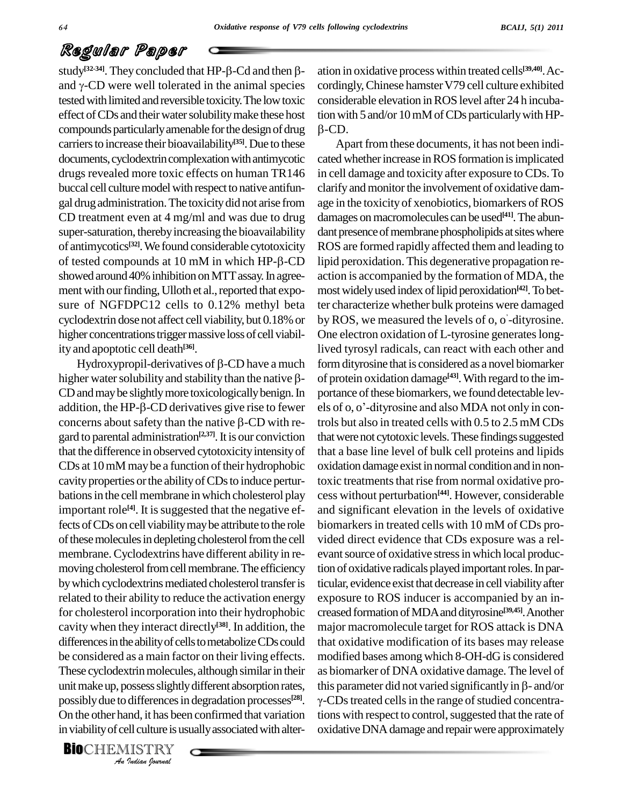# Regular Paper **Regular Paper**<br>study<sup>[32-34]</sup>. They concluded that HP-β-Cd and then β- ation

 $\log$  and  $\theta$  -CD were well tolerated in the animal species cordination and  $\gamma$ -CD were well tolerated in the animal species cordination tested with limited and reversible toxicity. The low toxic compounds particularly amenable for the design of drug carriers to increase their bioavailability<sup>[35]</sup>. Due to these  $\overline{A}$ documents, cyclodextrin complexation with antimycotic drugs revealed more toxic effects on human TR146 buccal cell culture model with respect to native antifungal drugadministration.The toxicitydid not arise from CD treatment even at 4 mg/ml and was due to drug super-saturation, thereby increasing the bioavailability of antimycotics **[32]**.We found considerable cytotoxicity super-saturation, thereby increasing the bioavailability dant present of antimycotics<sup>[32]</sup>. We found considerable cytotoxicity ROS are for tested compounds at 10 mM in which  $HP$ - $\beta$ -CD lipid peroxishowed around 40% inhibition on MTT assay. In agreement with our finding, Ulloth et al., reported that exposure of NGFDPC12 cells to 0.12% methyl beta cyclodextrin dose not affect cell viability, but 0.18% or higher concentrations trigger massive loss of cell viability and apoptotic cell death **[36]**.

These cyclodextrin molecules, although similar in their as b *Indian Indian*<br>*Indian I Indian*<br>*II Indian boundal*<br>*IISTRY* Hydroxypropil-derivatives of  $\beta$ -CD have a much higher water solubility and stability than the native  $\beta$ -CD and may be slightly more toxicologically benign. In higher water solubility and stability than the native  $\beta$ - of p<br>CD and may be slightly more toxicologically benign. In port<br>addition, the HP- $\beta$ -CD derivatives give rise to fewer els o CD and may be slightly more toxicologically benign. In port<br>addition, the HP- $\beta$ -CD derivatives give rise to fewer els doncerns about safety than the native  $\beta$ -CD with regard to parental administration<sup>[2,37]</sup>. It is our conviction that we that the difference in observed cytotoxicity intensity of CDs at 10 mM may be a function of their hydrophobic cavity properties or the ability of CDs to induce perturbations in the cell membrane in which cholesterol play important role<sup>[4]</sup>. It is suggested that the negative ef- an fects of CDs on cell viability may be attribute to the role of these molecules in depleting cholesterol from the cell membrane. Cyclodextrins have different ability in re-<br>moving cholesterol from cell membrane. The efficiency by which cyclodextrins mediated cholesterol transfer is related to their ability to reduce the activation energy for cholesterol incorporation into their hydrophobic cavity when they interact directly **[38]**. In addition, the differences in the ability of cells to metabolize CDs could be considered as a main factor on their living effects. possibly due to differences in degradation processes<sup>[28]</sup>. γ-On the other hand, it has been confirmed that variation tions w in viability of cell culture is usually associated with alter-

**BIO**CHEMISTRY<br>An Indian Journal

effect of CDs and their water solubility make these host tion with  $5$  and/or 10 mM of CDs particularly with HPation in oxidative process within treated cells **[39,40]**.Ac cordingly, Chinese hamster V79 cell culture exhibited considerable elevation inROS level after 24 h incuba-tionwith <sup>5</sup> and/or 10mMofCDs particularlywithHP-  $\beta$ -CD.

unit make up, possess slightly different absorption rates, this parameter did not varied significantly in  $\beta$ - and/or Apart from these documents, it has not been indicated whether increase in ROS formation is implicated in cell damage and toxicity after exposure to CDs. To clarify and monitor the involvement of oxidative damage in the toxicity of xenobiotics, biomarkers of ROS damages on macromolecules can be used<sup>[41]</sup>. The abundant presence of membrane phospholipids at sites where ROS are formed rapidly affected them and leading to lipid peroxidation. This degenerative propagation re-<br>action is accompanied by the formation of MDA, the mostwidelyused index oflipid peroxidation **[42]**.Tobetter characterize whether bulk proteins were damaged íby ROS, we measured the levels of o, o -dityrosine. One electron oxidation of L-tyrosine generates longlived tyrosyl radicals, can react with each other and form dityrosine that is considered as a novel biomarker of protein oxidation damage<sup>[43]</sup>. With regard to the im-<br>portance of these biomarkers, we found detectable lev-<br>els of 0, 0'-dityrosine and also MDA not only in conportance of these biomarkers, we found detectable levtrols but also in treated cells with 0.5 to 2.5 mM CDs that were not cytotoxic levels. These findings suggested that a base line level of bulk cell proteins and lipids oxidation damage exist in normal conditionand in nontoxic treatments that rise from normal oxidative process without perturbation **[44]**. However, considerable and significant elevation in the levels of oxidative biomarkers in treated cells with 10 mM of CDs provided direct evidence that CDs exposure was a rel evant source of oxidative stress in which local production of oxidative radicals played important roles. In particular, evidence exist that decrease in cell viability after exposure to ROS inducer is accompanied by an in creased formation ofMDAand dityrosine **[39,45]**.Another major macromolecule target for ROS attack is DNA that oxidative modification of its bases may release modified bases among which 8-OH-dG is considered<br>as biomarker of DNA oxidative damage. The level of<br>this parameter did not varied significantly in  $\beta$ - and/or as biomarker of DNA oxidative damage. The level of  $\gamma$ -CDs treated cells in the range of studied concentrations with respect to control, suggested that the rate of oxidative DNA damage and repair were approximately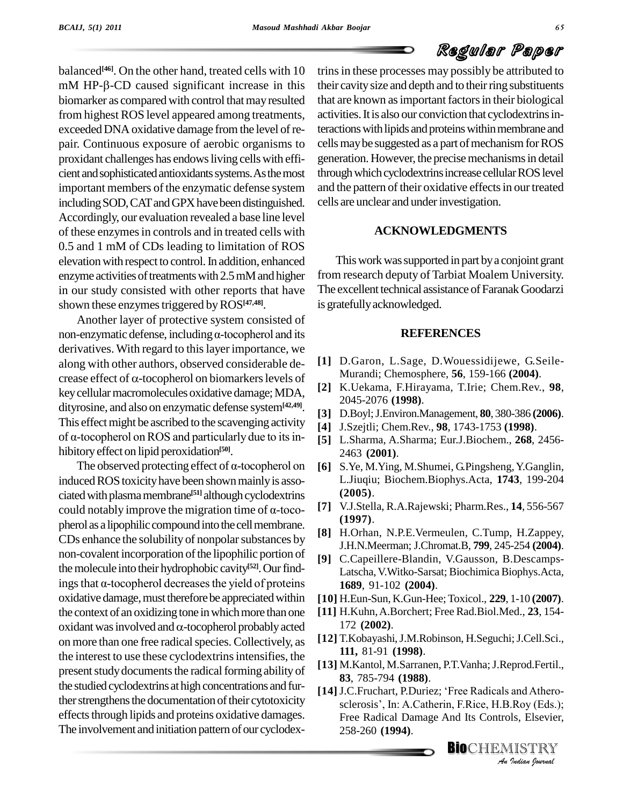balanced<sup>[46]</sup>. On the other hand, treated cells with 10 trins in  $mM$  HP- $\beta$ -CD caused significant increase in this biomarker as compared with control that may resulted from highest ROS level appeared among treatments, exceededDNAoxidative damage fromthe level ofre pair. Continuous exposure of aerobic organisms to proxidant challenges has endowsliving cellswith effi cient and sophisticated antioxidants systems. As the most important members of the enzymatic defense system including SOD, CAT and GPX have been distinguished. Accordingly, our evaluation revealed a base line level of these enzymes in controls and in treated cells with 0.5 and 1 mM of CDs leading to limitation of ROS elevation with respect to control. In addition, enhanced enzyme activities of treatments with  $2.5$  mM and higher in our study consisted with other reports that have shown these enzymes triggered by  $\mathrm{ROS}^{[47,48]}.$ 

Another layer of protective system consisted of non-enzymatic defense, including  $\alpha$ -tocopherol and its derivatives. With regard to this layer importance, we<br>along with other authors, observed considerable de-<br>crease effect of  $\alpha$ -tocopherol on biomarkers levels of along with other authors, observed considerable de key cellular macromolecules oxidative damage; MDA, dityrosine, and also on enzymatic defense system**[42,49]**. This effect might be ascribed to the scavenging activity  $\begin{bmatrix} 1 \\ 41 \end{bmatrix}$ dityrosine, and also on enzymatic defense system<sup>[42,49]</sup>. [3]<br>This effect might be ascribed to the scavenging activity [4]<br>of  $\alpha$ -tocopherol on ROS and particularly due to its inhibitoryeffect on lipid peroxidation **[50]**. of α-tocopherol on ROS and particularly due to its in-<br>hibitory effect on lipid peroxidation<sup>[50]</sup>.<br>The observed protecting effect of α-tocopherol on

induced ROS toxicity have been shown mainly is associated with plasma membrane<sup>[51]</sup> although cyclodextrins induced ROS toxicity have been shown mainly is associated with plasma membrane<sup>[51]</sup> although cyclodextrins could notably improve the migration time of  $\alpha$ -tocopherol as a lipophilic compound into the cell membrane. CDs enhance the solubility of nonpolar substances by non-covalent incorporation of the lipophilic portion of the molecule into their hydrophobic cavity<sup>[52]</sup>. Our findnon-covalent incorporation of the lipophilic portion of [9]<br>the molecule into their hydrophobic cavity<sup>[52]</sup>. Our find-<br>ings that α-tocopherol decreases the yield of proteins oxidative damage, must therefore be appreciated within [10] H.<br>the context of an oxidizing tone in which more than one [11] H.<br>oxidant was involved and  $\alpha$ -tocopherol probably acted 17 the context of an oxidizing tone in which more than one on more than one free radical species. Collectively, as the interest to use these cyclodextrinsintensifies, the present study documents the radical forming ability of the studied cyclodextrins at high concentrations and fur-<br>[14] J.C.Fruchart, P.Duriez; 'Free Radicals and Atherother strengthens the documentation of their cytotoxicity effects through lipids and proteins oxidative damages. The involvement and initiation pattern of our cyclodex-

trins in these processes may possibly be attributed to their cavity size and depth and to their ring substituents that are known as important factors in their biological activities. It is also our conviction that cyclodextrins interactions with lipids and proteins within membrane and cells may be suggested as a part of mechanism for ROS generation. However, the precisemechanismsin detail through which cyclodextrins increase cellular ROS level and the pattern of their oxidative effects in our treated cells are unclear and underinvestigation.

#### **ACKNOWLEDGMENTS**

This work was supported in part by a conjoint grant from research deputy of Tarbiat Moalem University. The excellent technical assistance of Faranak Goodarzi is gratefully acknowledged.

#### **REFERENCES**

- **[1]** D.Garon, L.Sage, D.Wouessidijewe, G.Seile- Murandi; Chemosphere, **56**, 159-166 **(2004)**.
- **[2]** K.Uekama, F.Hirayama, T.Irie; Chem.Rev., **98**, 2045-2076 **(1998)**.
- **[3]** D.Boyl;J.Environ.Management, **80**, 380-386 **(2006)**.
- **[4]** J.Szejtli; Chem.Rev., **98**, 1743-1753 **(1998)**.
- **[5]** L.Sharma, A.Sharma; Eur.J.Biochem., **268**, 2456- 2463 **(2001)**.
- **[6]** S.Ye, M.Ying, M.Shumei, G.Pingsheng,Y.Ganglin, L.Jiuqiu; Biochem.Biophys.Acta, **1743**, 199-204 **(2005)**.
- **[7]** V.J.Stella, R.A.Rajewski; Pharm.Res., **14**, 556-567 **(1997)**.
- **[8]** H.Orhan, N.P.E.Vermeulen, C.Tump, H.Zappey, J.H.N.Meerman; J.Chromat.B, **799**, 245-254 **(2004)**.
- **[9]** C.Capeillere-Blandin, V.Gausson, B.Descamps- Latscha, V.Witko-Sarsat; Biochimica Biophys.Acta, **1689**, 91-102 **(2004)**.
- **[10]** H.Eun-Sun, K.Gun-Hee;Toxicol., **229**, 1-10 **(2007)**.
- **[11]** H.Kuhn,A.Borchert; Free Rad.Biol.Med., **23**, 154- 172 **(2002)**.
- **[12]** T.Kobayashi,J.M.Robinson, H.Seguchi;J.Cell.Sci., **111,** 81-91 **(1998)**.
- **[13]** M.Kantol, M.Sarranen, P.T.Vanha;J.Reprod.Fertil., **[14]**J.C.Fruchart, P.Duriez; ëFree Radicals and Athero- **83**, 785-794 **(1988)**.
- **83**, 785-794 (**1988**).<br>
J.C.Fruchart, P.Duriez; 'Free Radicals and Atherosclerosis', In: A.Catherin, F.Rice, H.B.Roy (Eds.);<br>
Free Radical Damage And Its Controls, Elsevier,<br>
258-260 (**1994**).<br> **BIO**CHEMISTRY Free Radical Damage And Its Controls, Elsevier, 258-260 **(1994)**.